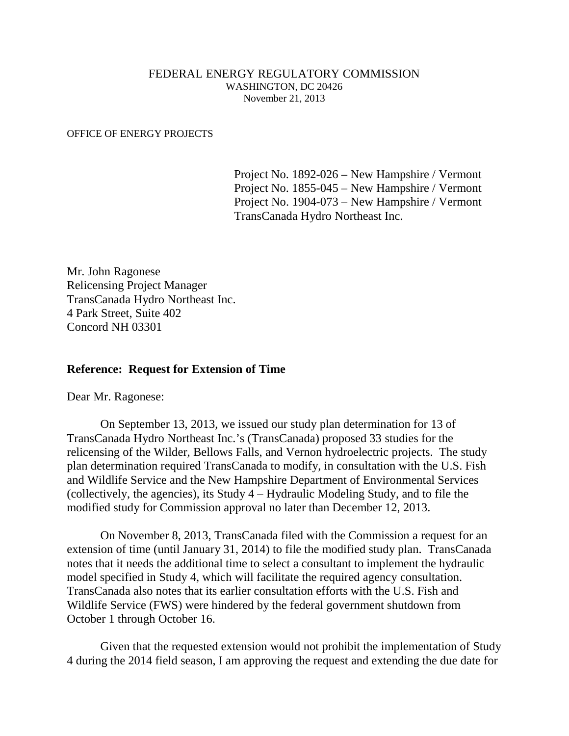## FEDERAL ENERGY REGULATORY COMMISSION WASHINGTON, DC 20426 November 21, 2013

## OFFICE OF ENERGY PROJECTS

Project No. 1892-026 – New Hampshire / Vermont Project No. 1855-045 – New Hampshire / Vermont Project No. 1904-073 – New Hampshire / Vermont TransCanada Hydro Northeast Inc.

Mr. John Ragonese Relicensing Project Manager TransCanada Hydro Northeast Inc. 4 Park Street, Suite 402 Concord NH 03301

## **Reference: Request for Extension of Time**

Dear Mr. Ragonese:

On September 13, 2013, we issued our study plan determination for 13 of TransCanada Hydro Northeast Inc.'s (TransCanada) proposed 33 studies for the relicensing of the Wilder, Bellows Falls, and Vernon hydroelectric projects. The study plan determination required TransCanada to modify, in consultation with the U.S. Fish and Wildlife Service and the New Hampshire Department of Environmental Services (collectively, the agencies), its Study 4 – Hydraulic Modeling Study, and to file the modified study for Commission approval no later than December 12, 2013.

On November 8, 2013, TransCanada filed with the Commission a request for an extension of time (until January 31, 2014) to file the modified study plan. TransCanada notes that it needs the additional time to select a consultant to implement the hydraulic model specified in Study 4, which will facilitate the required agency consultation. TransCanada also notes that its earlier consultation efforts with the U.S. Fish and Wildlife Service (FWS) were hindered by the federal government shutdown from October 1 through October 16.

Given that the requested extension would not prohibit the implementation of Study 4 during the 2014 field season, I am approving the request and extending the due date for